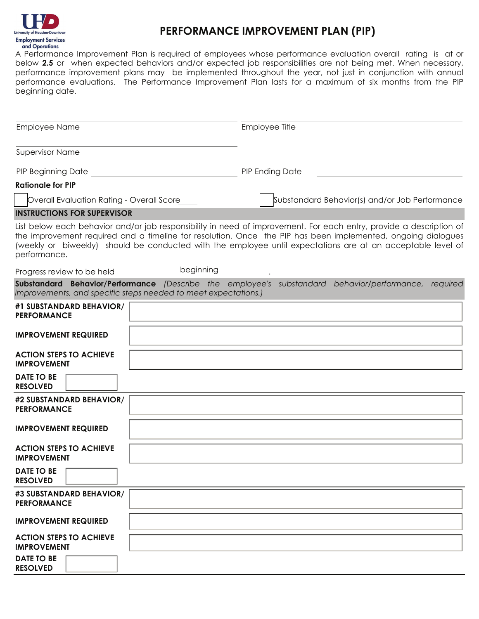

## **PERFORMANCE IMPROVEMENT PLAN (PIP)**

A Performance Improvement Plan is required of employees whose performance evaluation overall rating is at or below **2.5** or when expected behaviors and/or expected job responsibilities are not being met. When necessary, performance improvement plans may be implemented throughout the year, not just in conjunction with annual performance evaluations. The Performance Improvement Plan lasts for a maximum of six months from the PIP beginning date.

| <b>Employee Name</b>                                                                                                                                                                                                                                                                                                                                               | Employee Title                                 |  |  |  |  |
|--------------------------------------------------------------------------------------------------------------------------------------------------------------------------------------------------------------------------------------------------------------------------------------------------------------------------------------------------------------------|------------------------------------------------|--|--|--|--|
| <b>Supervisor Name</b>                                                                                                                                                                                                                                                                                                                                             |                                                |  |  |  |  |
| <b>PIP Beginning Date</b>                                                                                                                                                                                                                                                                                                                                          | <b>PIP Ending Date</b>                         |  |  |  |  |
| <b>Rationale for PIP</b>                                                                                                                                                                                                                                                                                                                                           |                                                |  |  |  |  |
| Overall Evaluation Rating - Overall Score                                                                                                                                                                                                                                                                                                                          | Substandard Behavior(s) and/or Job Performance |  |  |  |  |
| <b>INSTRUCTIONS FOR SUPERVISOR</b>                                                                                                                                                                                                                                                                                                                                 |                                                |  |  |  |  |
| List below each behavior and/or job responsibility in need of improvement. For each entry, provide a description of<br>the improvement required and a timeline for resolution. Once the PIP has been implemented, ongoing dialogues<br>(weekly or biweekly) should be conducted with the employee until expectations are at an acceptable level of<br>performance. |                                                |  |  |  |  |
| Progress review to be held                                                                                                                                                                                                                                                                                                                                         | beginning                                      |  |  |  |  |
| Substandard Behavior/Performance (Describe the employee's substandard behavior/performance, required<br>improvements, and specific steps needed to meet expectations.)                                                                                                                                                                                             |                                                |  |  |  |  |
| #1 SUBSTANDARD BEHAVIOR/                                                                                                                                                                                                                                                                                                                                           |                                                |  |  |  |  |
| <b>PERFORMANCE</b>                                                                                                                                                                                                                                                                                                                                                 |                                                |  |  |  |  |
| <b>IMPROVEMENT REQUIRED</b>                                                                                                                                                                                                                                                                                                                                        |                                                |  |  |  |  |
| <b>ACTION STEPS TO ACHIEVE</b><br><b>IMPROVEMENT</b>                                                                                                                                                                                                                                                                                                               |                                                |  |  |  |  |
| DATE TO BE<br><b>RESOLVED</b>                                                                                                                                                                                                                                                                                                                                      |                                                |  |  |  |  |
| #2 SUBSTANDARD BEHAVIOR/<br><b>PERFORMANCE</b>                                                                                                                                                                                                                                                                                                                     |                                                |  |  |  |  |
| <b>IMPROVEMENT REQUIRED</b>                                                                                                                                                                                                                                                                                                                                        |                                                |  |  |  |  |
| <b>ACTION STEPS TO ACHIEVE</b><br><b>IMPROVEMENT</b>                                                                                                                                                                                                                                                                                                               |                                                |  |  |  |  |
| DATE TO BE  <br><b>RESOLVED</b>                                                                                                                                                                                                                                                                                                                                    |                                                |  |  |  |  |
| #3 SUBSTANDARD BEHAVIOR/<br><b>PERFORMANCE</b>                                                                                                                                                                                                                                                                                                                     |                                                |  |  |  |  |
| <b>IMPROVEMENT REQUIRED</b>                                                                                                                                                                                                                                                                                                                                        |                                                |  |  |  |  |
| <b>ACTION STEPS TO ACHIEVE</b><br><b>IMPROVEMENT</b>                                                                                                                                                                                                                                                                                                               |                                                |  |  |  |  |
| <b>DATE TO BE</b><br><b>RESOLVED</b>                                                                                                                                                                                                                                                                                                                               |                                                |  |  |  |  |